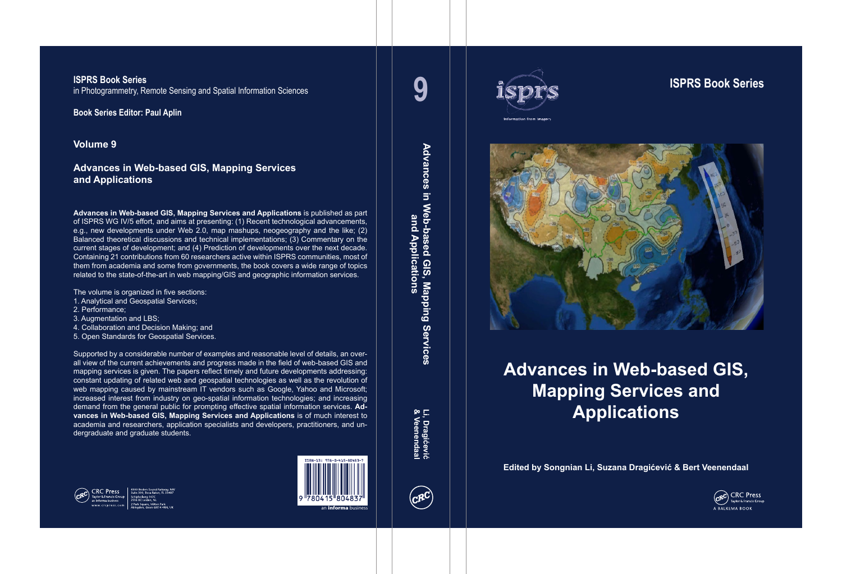**ISPRS Book Series**<br>in Photogrammetry, Permete Serging and Spatial Information Sciences **ISPRS Book Series** in Photogrammetry, Remote Sensing and Spatial Information Sciences

**Book Series Editor: Paul Aplin**

**Volume 9**

## **Advances in Web-based GIS, Mapping Services and Applications**

**Advances in Web-based GIS, Mapping Services and Applications** is published as part of ISPRS WG IV/5 effort, and aims at presenting: (1) Recent technological advancements, e.g., new developments under Web 2.0, map mashups, neogeography and the like; (2) Balanced theoretical discussions and technical implementations; (3) Commentary on the current stages of development; and (4) Prediction of developments over the next decade. Containing 21 contributions from 60 researchers active within ISPRS communities, most of them from academia and some from governments, the book covers a wide range of topics related to the state-of-the-art in web mapping/GIS and geographic information services.

The volume is organized in five sections:

- 1. Analytical and Geospatial Services;
- 2. Performance;
- 3. Augmentation and LBS;
- 4. Collaboration and Decision Making; and
- 5. Open Standards for Geospatial Services.

Supported by a considerable number of examples and reasonable level of details, an overall view of the current achievements and progress made in the field of web-based GIS and mapping services is given. The papers reflect timely and future developments addressing: constant updating of related web and geospatial technologies as well as the revolution of web mapping caused by mainstream IT vendors such as Google, Yahoo and Microsoft; increased interest from industry on geo-spatial information technologies; and increasing demand from the general public for prompting effective spatial information services. **Advances in Web-based GIS, Mapping Services and Applications** is of much interest to academia and researchers, application specialists and developers, practitioners, and undergraduate and graduate students.









# **Advances in Web-based GIS, Mapping Services and Applications**

**Edited by Songnian Li, Suzana Dragićević & Bert Veenendaal**



Advances **Advances in Web-based GIS, Mapping Services**  in Web-based and Applications **and Applications** GIS, Mapping **Services** 

**9**

Li, Dragićević<br>& Veenendaal **& Veenendaal Li, Dragićević**

 $(cR^C)$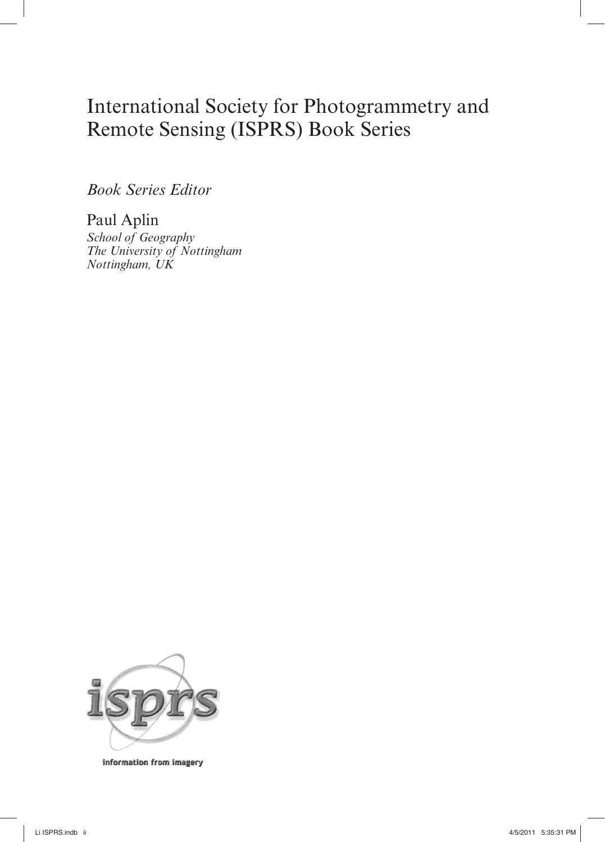## International Society for Photogrammetry and Remote Sensing (ISPRS) Book Series

*Book Series Editor* 

Paul Aplin *School of Geography The University of Nottingham Nottingham, UK*



information from imagery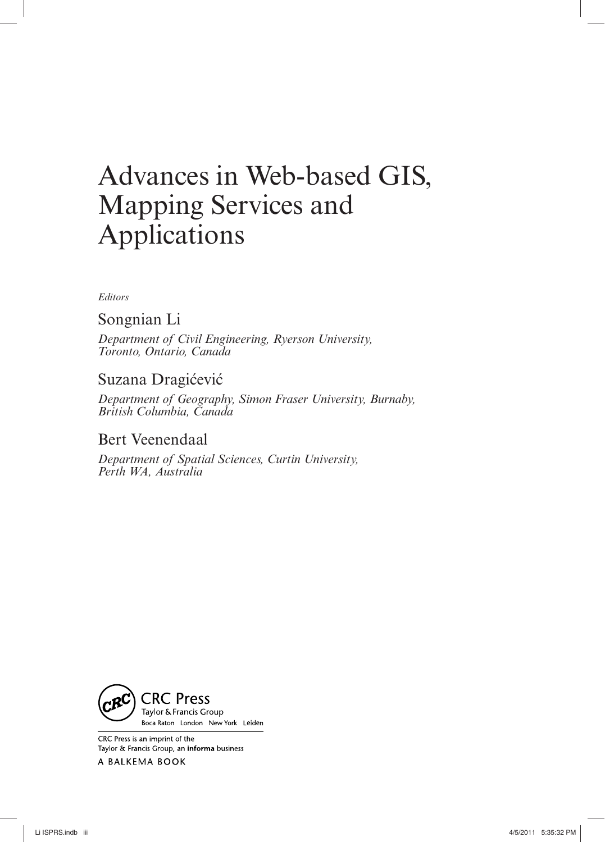## Advances in Web-based GIS, Mapping Services and Applications

*Editors*

Songnian Li

*Department of Civil Engineering, Ryerson University, Toronto, Ontario, Canada*

## Suzana Dragićević

*Department of Geography, Simon Fraser University, Burnaby, British Columbia, Canada* 

## Bert Veenendaal

*Department of Spatial Sciences, Curtin University, Perth WA, Australia* 



CRC Press is an imprint of the Taylor & Francis Group, an informa business A BALKEMA BOOK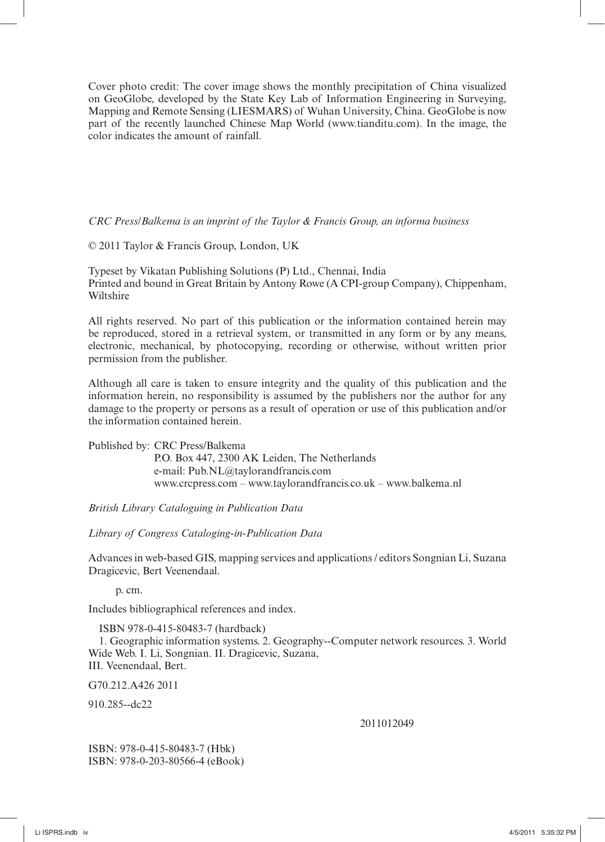Cover photo credit: The cover image shows the monthly precipitation of China visualized on GeoGlobe, developed by the State Key Lab of Information Engineering in Surveying, Mapping and Remote Sensing (LIESMARS) of Wuhan University, China. GeoGlobe is now part of the recently launched Chinese Map World (www.tianditu.com). In the image, the color indicates the amount of rainfall.

*CRC Press/Balkema is an imprint of the Taylor & Francis Group, an informa business*

© 2011 Taylor & Francis Group, London, UK

Typeset by Vikatan Publishing Solutions (P) Ltd., Chennai, India Printed and bound in Great Britain by Antony Rowe (A CPI-group Company), Chippenham, **Wiltshire** 

All rights reserved. No part of this publication or the information contained herein may be reproduced, stored in a retrieval system, or transmitted in any form or by any means, electronic, mechanical, by photocopying, recording or otherwise, without written prior permission from the publisher.

Although all care is taken to ensure integrity and the quality of this publication and the information herein, no responsibility is assumed by the publishers nor the author for any damage to the property or persons as a result of operation or use of this publication and/or the information contained herein.

Published by: CRC Press/Balkema P.O. Box 447, 2300 AK Leiden, The Netherlands e-mail: Pub.NL@taylorandfrancis.com www.crcpress.com – www.taylorandfrancis.co.uk – www.balkema.nl

*British Library Cataloguing in Publication Data*

*Library of Congress Cataloging-in-Publication Data*

Advances in web-based GIS, mapping services and applications / editors Songnian Li, Suzana Dragicevic, Bert Veenendaal.

p. cm.

Includes bibliographical references and index.

ISBN 978-0-415-80483-7 (hardback)

 1. Geographic information systems. 2. Geography--Computer network resources. 3. World Wide Web. I. Li, Songnian. II. Dragicevic, Suzana, III. Veenendaal, Bert.

G70.212.A426 2011

910.285--dc22

2011012049

ISBN: 978-0-415-80483-7 (Hbk) ISBN: 978-0-203-80566-4 (eBook)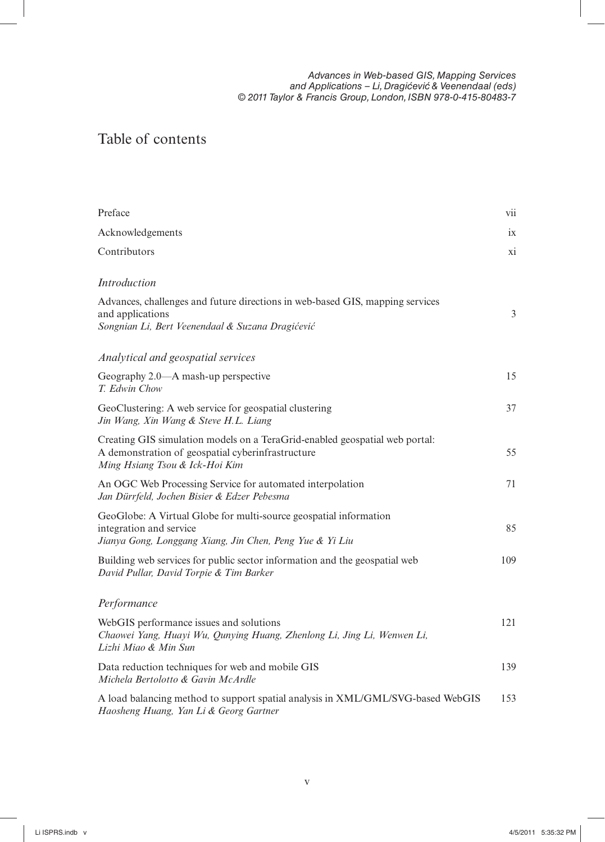## Table of contents

| Preface                                                                                                                                                            | vii            |
|--------------------------------------------------------------------------------------------------------------------------------------------------------------------|----------------|
| Acknowledgements                                                                                                                                                   | ix             |
| Contributors                                                                                                                                                       | xi             |
| <i>Introduction</i>                                                                                                                                                |                |
| Advances, challenges and future directions in web-based GIS, mapping services<br>and applications<br>Songnian Li, Bert Veenendaal & Suzana Dragićević              | $\mathfrak{Z}$ |
| Analytical and geospatial services                                                                                                                                 |                |
| Geography 2.0—A mash-up perspective<br>T. Edwin Chow                                                                                                               | 15             |
| GeoClustering: A web service for geospatial clustering<br>Jin Wang, Xin Wang & Steve H.L. Liang                                                                    | 37             |
| Creating GIS simulation models on a TeraGrid-enabled geospatial web portal:<br>A demonstration of geospatial cyberinfrastructure<br>Ming Hsiang Tsou & Ick-Hoi Kim | 55             |
| An OGC Web Processing Service for automated interpolation<br>Jan Dürrfeld, Jochen Bisier & Edzer Pebesma                                                           | 71             |
| GeoGlobe: A Virtual Globe for multi-source geospatial information<br>integration and service<br>Jianya Gong, Longgang Xiang, Jin Chen, Peng Yue & Yi Liu           | 85             |
| Building web services for public sector information and the geospatial web<br>David Pullar, David Torpie & Tim Barker                                              | 109            |
| Performance                                                                                                                                                        |                |
| WebGIS performance issues and solutions<br>Chaowei Yang, Huayi Wu, Qunying Huang, Zhenlong Li, Jing Li, Wenwen Li,<br>Lizhi Miao & Min Sun                         | 121            |
| Data reduction techniques for web and mobile GIS<br>Michela Bertolotto & Gavin McArdle                                                                             | 139            |
| A load balancing method to support spatial analysis in XML/GML/SVG-based WebGIS<br>Haosheng Huang, Yan Li & Georg Gartner                                          | 153            |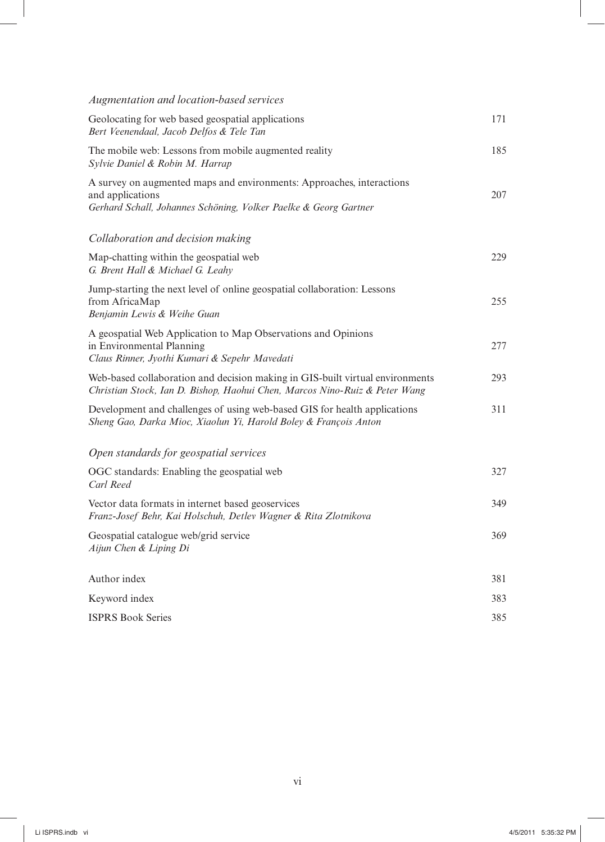| Augmentation and location-based services                                                                                                                      |     |
|---------------------------------------------------------------------------------------------------------------------------------------------------------------|-----|
| Geolocating for web based geospatial applications<br>Bert Veenendaal, Jacob Delfos & Tele Tan                                                                 | 171 |
| The mobile web: Lessons from mobile augmented reality<br>Sylvie Daniel & Robin M. Harrap                                                                      | 185 |
| A survey on augmented maps and environments: Approaches, interactions<br>and applications<br>Gerhard Schall, Johannes Schöning, Volker Paelke & Georg Gartner | 207 |
| Collaboration and decision making                                                                                                                             |     |
| Map-chatting within the geospatial web<br>G. Brent Hall & Michael G. Leahy                                                                                    | 229 |
| Jump-starting the next level of online geospatial collaboration: Lessons<br>from AfricaMap<br>Benjamin Lewis & Weihe Guan                                     | 255 |
| A geospatial Web Application to Map Observations and Opinions<br>in Environmental Planning<br>Claus Rinner, Jyothi Kumari & Sepehr Mavedati                   | 277 |
| Web-based collaboration and decision making in GIS-built virtual environments<br>Christian Stock, Ian D. Bishop, Haohui Chen, Marcos Nino-Ruiz & Peter Wang   | 293 |
| Development and challenges of using web-based GIS for health applications<br>Sheng Gao, Darka Mioc, Xiaolun Yi, Harold Boley & François Anton                 | 311 |
| Open standards for geospatial services                                                                                                                        |     |
| OGC standards: Enabling the geospatial web<br>Carl Reed                                                                                                       | 327 |
| Vector data formats in internet based geoservices<br>Franz-Josef Behr, Kai Holschuh, Detlev Wagner & Rita Zlotnikova                                          | 349 |
| Geospatial catalogue web/grid service<br>Aijun Chen & Liping Di                                                                                               | 369 |
| Author index                                                                                                                                                  | 381 |
| Keyword index                                                                                                                                                 | 383 |
| <b>ISPRS Book Series</b>                                                                                                                                      | 385 |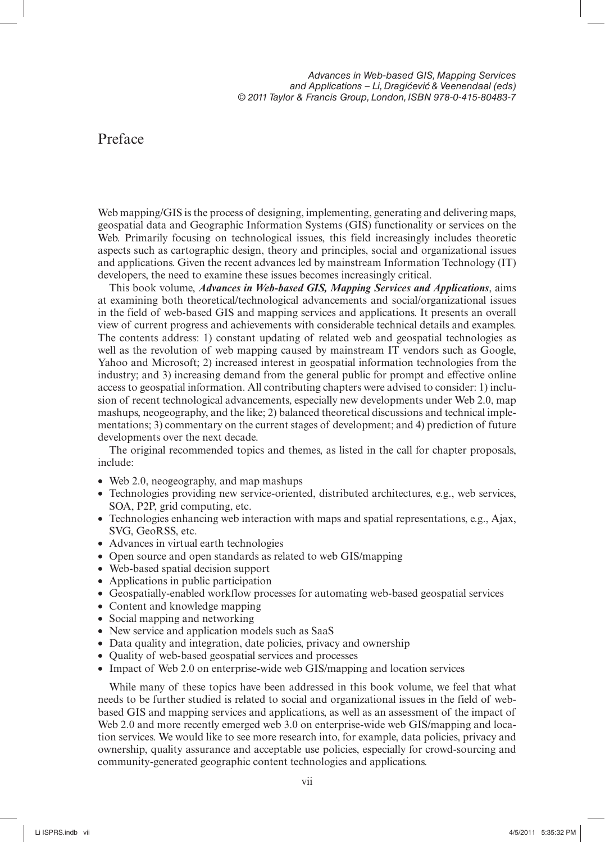### Preface

Web mapping/GIS is the process of designing, implementing, generating and delivering maps, geospatial data and Geographic Information Systems (GIS) functionality or services on the Web. Primarily focusing on technological issues, this field increasingly includes theoretic aspects such as cartographic design, theory and principles, social and organizational issues and applications. Given the recent advances led by mainstream Information Technology (IT) developers, the need to examine these issues becomes increasingly critical.

This book volume, *Advances in Web-based GIS, Mapping Services and Applications*, aims at examining both theoretical/technological advancements and social/organizational issues in the field of web-based GIS and mapping services and applications. It presents an overall view of current progress and achievements with considerable technical details and examples. The contents address: 1) constant updating of related web and geospatial technologies as well as the revolution of web mapping caused by mainstream IT vendors such as Google, Yahoo and Microsoft; 2) increased interest in geospatial information technologies from the industry; and 3) increasing demand from the general public for prompt and effective online access to geospatial information. All contributing chapters were advised to consider: 1) inclusion of recent technological advancements, especially new developments under Web 2.0, map mashups, neogeography, and the like; 2) balanced theoretical discussions and technical implementations; 3) commentary on the current stages of development; and 4) prediction of future developments over the next decade.

The original recommended topics and themes, as listed in the call for chapter proposals, include:

- Web 2.0, neogeography, and map mashups
- Technologies providing new service-oriented, distributed architectures, e.g., web services, SOA, P2P, grid computing, etc.
- Technologies enhancing web interaction with maps and spatial representations, e.g., Ajax, SVG, GeoRSS, etc.
- Advances in virtual earth technologies
- Open source and open standards as related to web GIS/mapping
- Web-based spatial decision support
- Applications in public participation
- Geospatially-enabled workflow processes for automating web-based geospatial services
- Content and knowledge mapping
- Social mapping and networking
- New service and application models such as SaaS
- Data quality and integration, date policies, privacy and ownership
- Quality of web-based geospatial services and processes
- Impact of Web 2.0 on enterprise-wide web GIS/mapping and location services

While many of these topics have been addressed in this book volume, we feel that what needs to be further studied is related to social and organizational issues in the field of webbased GIS and mapping services and applications, as well as an assessment of the impact of Web 2.0 and more recently emerged web 3.0 on enterprise-wide web GIS/mapping and location services. We would like to see more research into, for example, data policies, privacy and ownership, quality assurance and acceptable use policies, especially for crowd-sourcing and community-generated geographic content technologies and applications.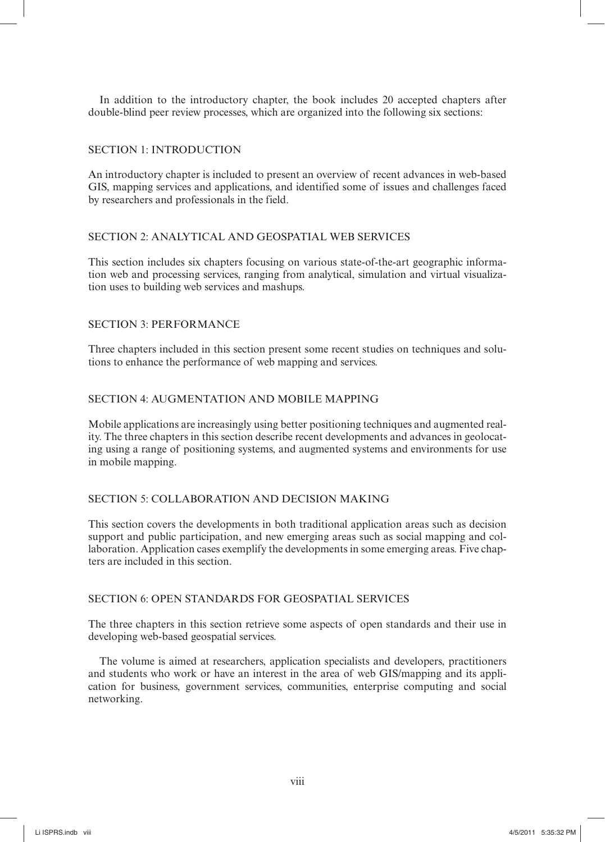In addition to the introductory chapter, the book includes 20 accepted chapters after double-blind peer review processes, which are organized into the following six sections:

#### SECTION 1: INTRODUCTION

An introductory chapter is included to present an overview of recent advances in web-based GIS, mapping services and applications, and identified some of issues and challenges faced by researchers and professionals in the field.

### SECTION 2: ANALYTICAL AND GEOSPATIAL WEB SERVICES

This section includes six chapters focusing on various state-of-the-art geographic information web and processing services, ranging from analytical, simulation and virtual visualization uses to building web services and mashups.

#### SECTION 3: PERFORMANCE

Three chapters included in this section present some recent studies on techniques and solutions to enhance the performance of web mapping and services.

### SECTION 4: AUGMENTATION AND MOBILE MAPPING

Mobile applications are increasingly using better positioning techniques and augmented reality. The three chapters in this section describe recent developments and advances in geolocating using a range of positioning systems, and augmented systems and environments for use in mobile mapping.

#### SECTION 5: COLLABORATION AND DECISION MAKING

This section covers the developments in both traditional application areas such as decision support and public participation, and new emerging areas such as social mapping and collaboration. Application cases exemplify the developments in some emerging areas. Five chapters are included in this section.

#### SECTION 6: OPEN STANDARDS FOR GEOSPATIAL SERVICES

The three chapters in this section retrieve some aspects of open standards and their use in developing web-based geospatial services.

The volume is aimed at researchers, application specialists and developers, practitioners and students who work or have an interest in the area of web GIS/mapping and its application for business, government services, communities, enterprise computing and social networking.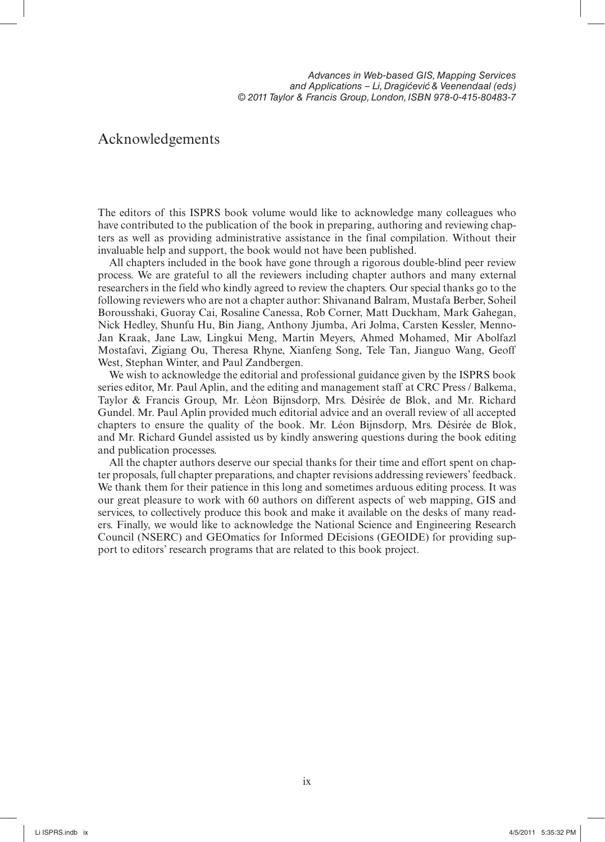Acknowledgements

The editors of this ISPRS book volume would like to acknowledge many colleagues who have contributed to the publication of the book in preparing, authoring and reviewing chapters as well as providing administrative assistance in the final compilation. Without their invaluable help and support, the book would not have been published.

All chapters included in the book have gone through a rigorous double-blind peer review process. We are grateful to all the reviewers including chapter authors and many external researchers in the field who kindly agreed to review the chapters. Our special thanks go to the following reviewers who are not a chapter author: Shivanand Balram, Mustafa Berber, Soheil Borousshaki, Guoray Cai, Rosaline Canessa, Rob Corner, Matt Duckham, Mark Gahegan, Nick Hedley, Shunfu Hu, Bin Jiang, Anthony Jjumba, Ari Jolma, Carsten Kessler, Menno-Jan Kraak, Jane Law, Lingkui Meng, Martin Meyers, Ahmed Mohamed, Mir Abolfazl Mostafavi, Zigiang Ou, Theresa Rhyne, Xianfeng Song, Tele Tan, Jianguo Wang, Geoff West, Stephan Winter, and Paul Zandbergen.

We wish to acknowledge the editorial and professional guidance given by the ISPRS book series editor, Mr. Paul Aplin, and the editing and management staff at CRC Press / Balkema, Taylor & Francis Group, Mr. Léon Bijnsdorp, Mrs. Désirée de Blok, and Mr. Richard Gundel. Mr. Paul Aplin provided much editorial advice and an overall review of all accepted chapters to ensure the quality of the book. Mr. Léon Bijnsdorp, Mrs. Désirée de Blok, and Mr. Richard Gundel assisted us by kindly answering questions during the book editing and publication processes.

All the chapter authors deserve our special thanks for their time and effort spent on chapter proposals, full chapter preparations, and chapter revisions addressing reviewers' feedback. We thank them for their patience in this long and sometimes arduous editing process. It was our great pleasure to work with 60 authors on different aspects of web mapping, GIS and services, to collectively produce this book and make it available on the desks of many readers. Finally, we would like to acknowledge the National Science and Engineering Research Council (NSERC) and GEOmatics for Informed DEcisions (GEOIDE) for providing support to editors' research programs that are related to this book project.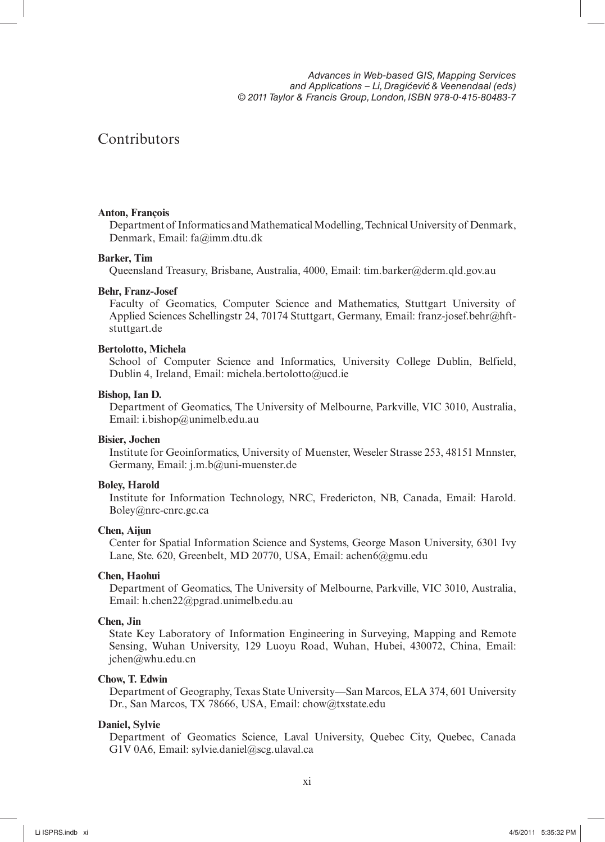## Contributors

#### **Anton, François**

Department of Informatics and Mathematical Modelling, Technical University of Denmark, Denmark, Email: fa@imm.dtu.dk

#### **Barker, Tim**

Queensland Treasury, Brisbane, Australia, 4000, Email: tim.barker@derm.qld.gov.au

#### **Behr, Franz-Josef**

Faculty of Geomatics, Computer Science and Mathematics, Stuttgart University of Applied Sciences Schellingstr 24, 70174 Stuttgart, Germany, Email: franz-josef.behr@hftstuttgart.de

#### **Bertolotto, Michela**

School of Computer Science and Informatics, University College Dublin, Belfield, Dublin 4, Ireland, Email: michela.bertolotto@ucd.ie

#### **Bishop, Ian D.**

Department of Geomatics, The University of Melbourne, Parkville, VIC 3010, Australia, Email: i.bishop@unimelb.edu.au

#### **Bisier, Jochen**

Institute for Geoinformatics, University of Muenster, Weseler Strasse 253, 48151 Mnnster, Germany, Email: j.m.b@uni-muenster.de

#### **Boley, Harold**

Institute for Information Technology, NRC, Fredericton, NB, Canada, Email: Harold. Boley@nrc-cnrc.gc.ca

#### **Chen, Aijun**

Center for Spatial Information Science and Systems, George Mason University, 6301 Ivy Lane, Ste. 620, Greenbelt, MD 20770, USA, Email: achen6@gmu.edu

#### **Chen, Haohui**

Department of Geomatics, The University of Melbourne, Parkville, VIC 3010, Australia, Email: h.chen22@pgrad.unimelb.edu.au

#### **Chen, Jin**

State Key Laboratory of Information Engineering in Surveying, Mapping and Remote Sensing, Wuhan University, 129 Luoyu Road, Wuhan, Hubei, 430072, China, Email: jchen@whu.edu.cn

#### **Chow, T. Edwin**

Department of Geography, Texas State University—San Marcos, ELA 374, 601 University Dr., San Marcos, TX 78666, USA, Email: chow@txstate.edu

#### **Daniel, Sylvie**

Department of Geomatics Science, Laval University, Quebec City, Quebec, Canada G1V 0A6, Email: sylvie.daniel@scg.ulaval.ca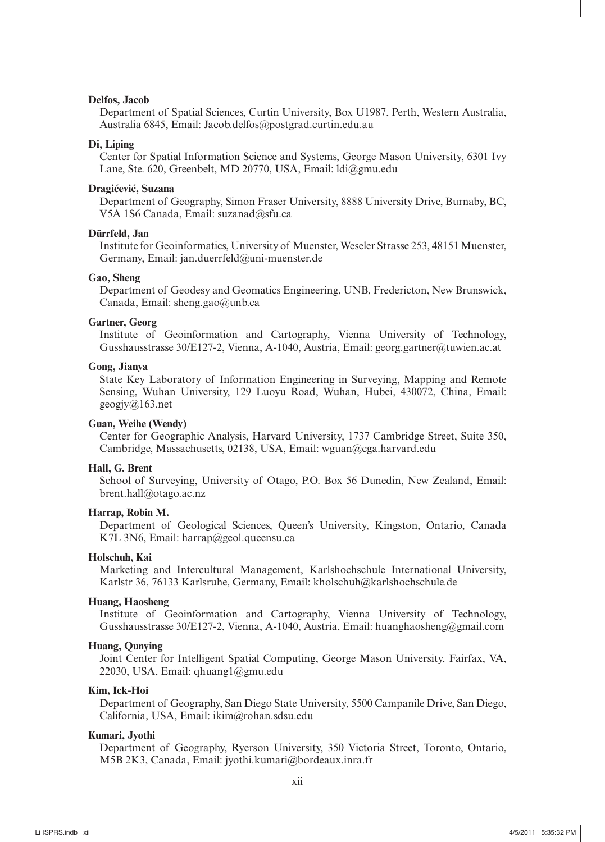#### **Delfos, Jacob**

Department of Spatial Sciences, Curtin University, Box U1987, Perth, Western Australia, Australia 6845, Email: Jacob.delfos@postgrad.curtin.edu.au

#### **Di, Liping**

Center for Spatial Information Science and Systems, George Mason University, 6301 Ivy Lane, Ste. 620, Greenbelt, MD 20770, USA, Email: ldi@gmu.edu

#### **Dragićević, Suzana**

Department of Geography, Simon Fraser University, 8888 University Drive, Burnaby, BC, V5A 1S6 Canada, Email: suzanad@sfu.ca

#### **Dürrfeld, Jan**

Institute for Geoinformatics, University of Muenster, Weseler Strasse 253, 48151 Muenster, Germany, Email: jan.duerrfeld@uni-muenster.de

#### **Gao, Sheng**

Department of Geodesy and Geomatics Engineering, UNB, Fredericton, New Brunswick, Canada, Email: sheng.gao@unb.ca

#### **Gartner, Georg**

Institute of Geoinformation and Cartography, Vienna University of Technology, Gusshausstrasse 30/E127-2, Vienna, A-1040, Austria, Email: georg.gartner@tuwien.ac.at

#### **Gong, Jianya**

State Key Laboratory of Information Engineering in Surveying, Mapping and Remote Sensing, Wuhan University, 129 Luoyu Road, Wuhan, Hubei, 430072, China, Email: geogjy@163.net

#### **Guan, Weihe (Wendy)**

Center for Geographic Analysis, Harvard University, 1737 Cambridge Street, Suite 350, Cambridge, Massachusetts, 02138, USA, Email: wguan@cga.harvard.edu

#### **Hall, G. Brent**

School of Surveying, University of Otago, P.O. Box 56 Dunedin, New Zealand, Email: brent.hall@otago.ac.nz

#### **Harrap, Robin M.**

Department of Geological Sciences, Queen's University, Kingston, Ontario, Canada K7L 3N6, Email: harrap@geol.queensu.ca

#### **Holschuh, Kai**

Marketing and Intercultural Management, Karlshochschule International University, Karlstr 36, 76133 Karlsruhe, Germany, Email: kholschuh@karlshochschule.de

#### **Huang, Haosheng**

Institute of Geoinformation and Cartography, Vienna University of Technology, Gusshausstrasse 30/E127-2, Vienna, A-1040, Austria, Email: huanghaosheng@gmail.com

#### **Huang, Qunying**

Joint Center for Intelligent Spatial Computing, George Mason University, Fairfax, VA, 22030, USA, Email: qhuang1@gmu.edu

#### **Kim, Ick-Hoi**

Department of Geography, San Diego State University, 5500 Campanile Drive, San Diego, California, USA, Email: ikim@rohan.sdsu.edu

#### **Kumari, Jyothi**

Department of Geography, Ryerson University, 350 Victoria Street, Toronto, Ontario, M5B 2K3, Canada, Email: jyothi.kumari@bordeaux.inra.fr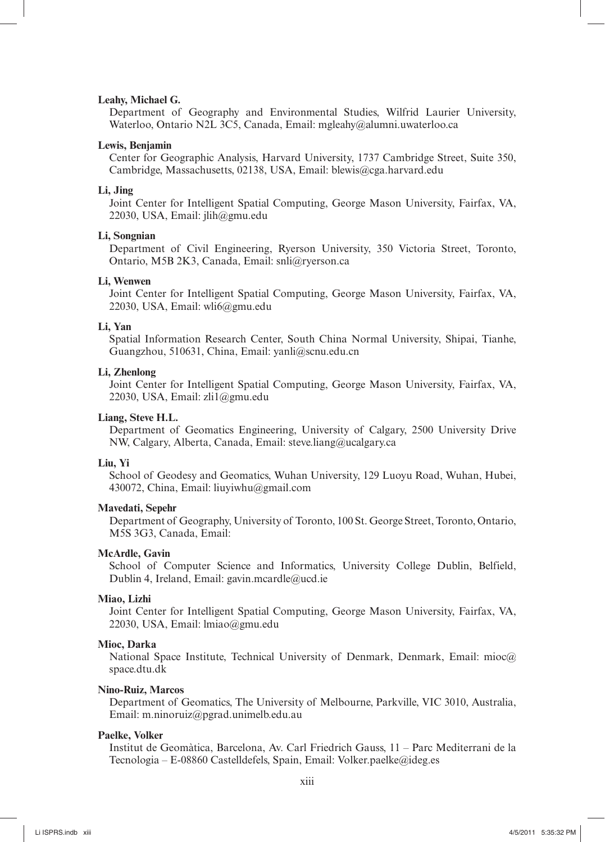#### **Leahy, Michael G.**

Department of Geography and Environmental Studies, Wilfrid Laurier University, Waterloo, Ontario N2L 3C5, Canada, Email: mgleahy@alumni.uwaterloo.ca

#### **Lewis, Benjamin**

Center for Geographic Analysis, Harvard University, 1737 Cambridge Street, Suite 350, Cambridge, Massachusetts, 02138, USA, Email: blewis@cga.harvard.edu

#### **Li, Jing**

Joint Center for Intelligent Spatial Computing, George Mason University, Fairfax, VA, 22030, USA, Email: jlih@gmu.edu

#### **Li, Songnian**

Department of Civil Engineering, Ryerson University, 350 Victoria Street, Toronto, Ontario, M5B 2K3, Canada, Email: snli@ryerson.ca

#### **Li, Wenwen**

Joint Center for Intelligent Spatial Computing, George Mason University, Fairfax, VA, 22030, USA, Email: wli6@gmu.edu

#### **Li, Yan**

Spatial Information Research Center, South China Normal University, Shipai, Tianhe, Guangzhou, 510631, China, Email: yanli@scnu.edu.cn

#### **Li, Zhenlong**

Joint Center for Intelligent Spatial Computing, George Mason University, Fairfax, VA, 22030, USA, Email: zli1@gmu.edu

#### **Liang, Steve H.L.**

Department of Geomatics Engineering, University of Calgary, 2500 University Drive NW, Calgary, Alberta, Canada, Email: steve.liang@ucalgary.ca

#### **Liu, Yi**

School of Geodesy and Geomatics, Wuhan University, 129 Luoyu Road, Wuhan, Hubei, 430072, China, Email: liuyiwhu@gmail.com

#### **Mavedati, Sepehr**

Department of Geography, University of Toronto, 100 St. George Street, Toronto, Ontario, M5S 3G3, Canada, Email:

#### **McArdle, Gavin**

School of Computer Science and Informatics, University College Dublin, Belfield, Dublin 4, Ireland, Email: gavin.mcardle@ucd.ie

#### **Miao, Lizhi**

Joint Center for Intelligent Spatial Computing, George Mason University, Fairfax, VA, 22030, USA, Email: lmiao@gmu.edu

#### **Mioc, Darka**

National Space Institute, Technical University of Denmark, Denmark, Email: mioc@ space.dtu.dk

#### **Nino-Ruiz, Marcos**

Department of Geomatics, The University of Melbourne, Parkville, VIC 3010, Australia, Email: m.ninoruiz@pgrad.unimelb.edu.au

#### **Paelke, Volker**

Institut de Geomàtica, Barcelona, Av. Carl Friedrich Gauss, 11 – Parc Mediterrani de la Tecnologia – E-08860 Castelldefels, Spain, Email: Volker.paelke@ideg.es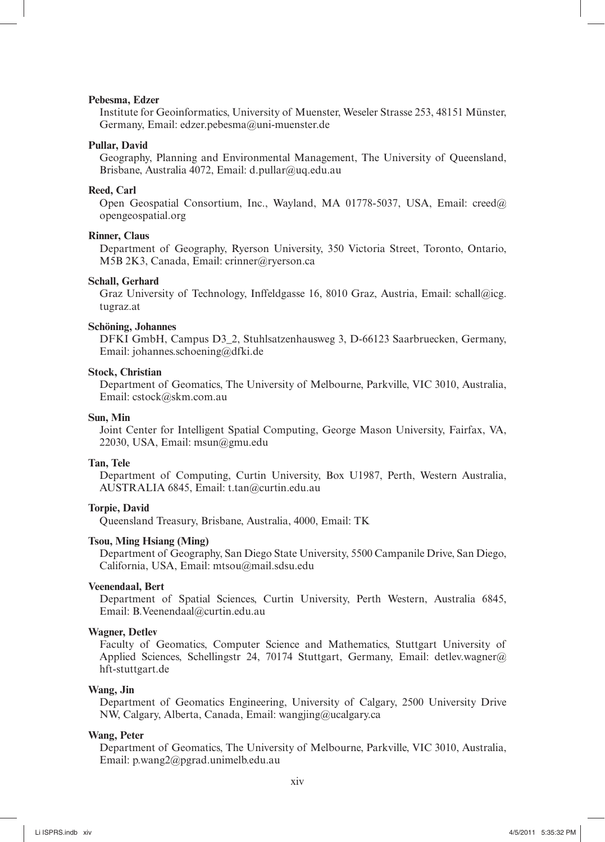#### **Pebesma, Edzer**

Institute for Geoinformatics, University of Muenster, Weseler Strasse 253, 48151 Münster, Germany, Email: edzer.pebesma@uni-muenster.de

#### **Pullar, David**

Geography, Planning and Environmental Management, The University of Queensland, Brisbane, Australia 4072, Email: d.pullar@uq.edu.au

#### **Reed, Carl**

Open Geospatial Consortium, Inc., Wayland, MA 01778-5037, USA, Email: creed@ opengeospatial.org

#### **Rinner, Claus**

Department of Geography, Ryerson University, 350 Victoria Street, Toronto, Ontario, M5B 2K3, Canada, Email: crinner@ryerson.ca

#### **Schall, Gerhard**

Graz University of Technology, Inffeldgasse 16, 8010 Graz, Austria, Email: schall@icg. tugraz.at

#### **Schöning, Johannes**

DFKI GmbH, Campus D3\_2, Stuhlsatzenhausweg 3, D-66123 Saarbruecken, Germany, Email: johannes.schoening@dfki.de

#### **Stock, Christian**

Department of Geomatics, The University of Melbourne, Parkville, VIC 3010, Australia, Email: cstock@skm.com.au

#### **Sun, Min**

Joint Center for Intelligent Spatial Computing, George Mason University, Fairfax, VA, 22030, USA, Email: msun@gmu.edu

#### **Tan, Tele**

Department of Computing, Curtin University, Box U1987, Perth, Western Australia, AUSTRALIA 6845, Email: t.tan@curtin.edu.au

#### **Torpie, David**

Queensland Treasury, Brisbane, Australia, 4000, Email: TK

#### **Tsou, Ming Hsiang (Ming)**

Department of Geography, San Diego State University, 5500 Campanile Drive, San Diego, California, USA, Email: mtsou@mail.sdsu.edu

#### **Veenendaal, Bert**

Department of Spatial Sciences, Curtin University, Perth Western, Australia 6845, Email: B.Veenendaal@curtin.edu.au

#### **Wagner, Detlev**

Faculty of Geomatics, Computer Science and Mathematics, Stuttgart University of Applied Sciences, Schellingstr 24, 70174 Stuttgart, Germany, Email: detlev.wagner@ hft-stuttgart.de

#### **Wang, Jin**

Department of Geomatics Engineering, University of Calgary, 2500 University Drive NW, Calgary, Alberta, Canada, Email: wangjing@ucalgary.ca

#### **Wang, Peter**

Department of Geomatics, The University of Melbourne, Parkville, VIC 3010, Australia, Email: p.wang2@pgrad.unimelb.edu.au